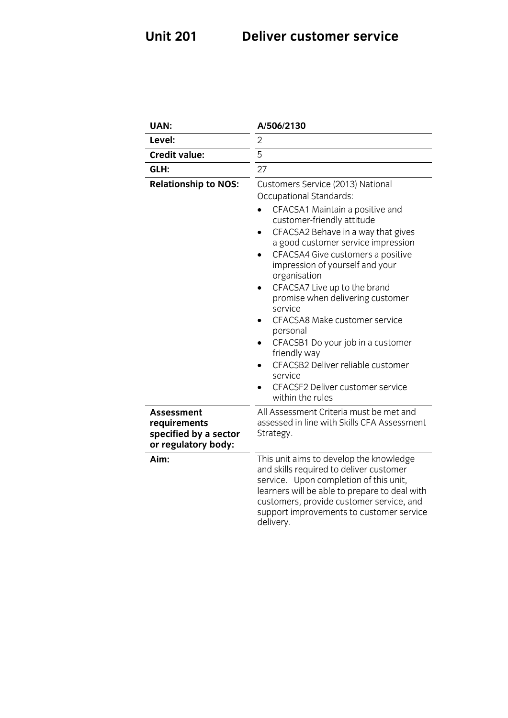## **Unit 201 Deliver customer service**

| <b>UAN:</b>                                                                | A/506/2130                                                                                                                                                                                                                                                                                                                                                                                                                                                                                                                                                                                 |
|----------------------------------------------------------------------------|--------------------------------------------------------------------------------------------------------------------------------------------------------------------------------------------------------------------------------------------------------------------------------------------------------------------------------------------------------------------------------------------------------------------------------------------------------------------------------------------------------------------------------------------------------------------------------------------|
| Level:                                                                     | $\overline{2}$                                                                                                                                                                                                                                                                                                                                                                                                                                                                                                                                                                             |
| <b>Credit value:</b>                                                       | 5                                                                                                                                                                                                                                                                                                                                                                                                                                                                                                                                                                                          |
| GLH:                                                                       | 27                                                                                                                                                                                                                                                                                                                                                                                                                                                                                                                                                                                         |
| <b>Relationship to NOS:</b>                                                | Customers Service (2013) National<br>Occupational Standards:<br>CFACSA1 Maintain a positive and<br>customer-friendly attitude<br>CFACSA2 Behave in a way that gives<br>a good customer service impression<br>CFACSA4 Give customers a positive<br>impression of yourself and your<br>organisation<br>CFACSA7 Live up to the brand<br>promise when delivering customer<br>service<br>CFACSA8 Make customer service<br>personal<br>CFACSB1 Do your job in a customer<br>friendly way<br>CFACSB2 Deliver reliable customer<br>service<br>CFACSF2 Deliver customer service<br>within the rules |
| Assessment<br>requirements<br>specified by a sector<br>or regulatory body: | All Assessment Criteria must be met and<br>assessed in line with Skills CFA Assessment<br>Strategy.                                                                                                                                                                                                                                                                                                                                                                                                                                                                                        |
| Aim:                                                                       | This unit aims to develop the knowledge<br>and skills required to deliver customer<br>service. Upon completion of this unit,<br>learners will be able to prepare to deal with<br>customers, provide customer service, and<br>support improvements to customer service<br>delivery.                                                                                                                                                                                                                                                                                                         |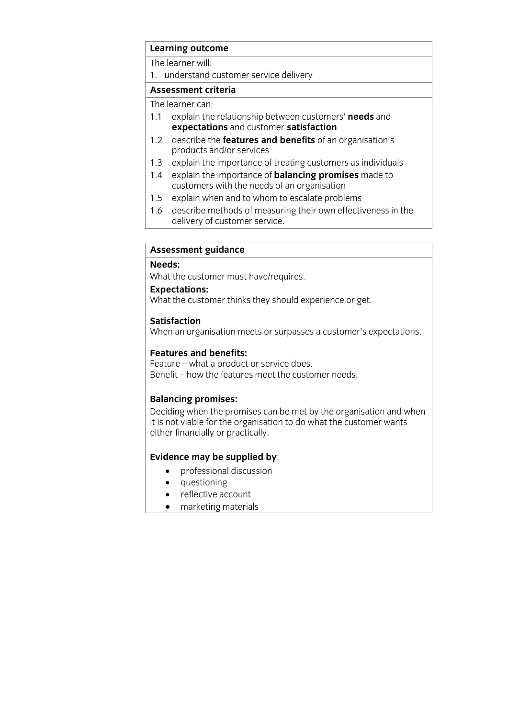# **Learning outcome**<br>The learner will:

1. understand customer service delivery

## Assessment criteria

The learner can:

- 1.1 explain the relationship between customers' needs and expectations and customer satisfaction
- describe the **features and benefits** of an organisation's  $1.2$ products and/or services
- 1.3 explain the importance of treating customers as individuals
- 1.4 explain the importance of **balancing promises** made to customers with the needs of an organisation
- 1.5 explain when and to whom to escalate problems
- 1.6 describe methods of measuring their own effectiveness in the delivery of customer service. delivery of customer service.

# **Assessment guidance**

What the customer must have/requires.

## Expectations:

**What the custo**  $\mathcal{L}_{\text{max}}$  the customer thinks they should experience or get.

## **Satisfaction**

When an organisation meets or surpasses a customer's expectations. When an organisation meets organisation meets or surprise that is expected to the surprise of  $\mu$ 

**Features and benefits:**<br>Feature – what a product or service does. Benefit – how the features meet the customer needs. Benefit – how the features meet the customer needs.

**Balancing promises:**<br>Deciding when the promises can be met by the organisation and when it is not viable for the organisation to do what the customer wants either financially or practically either financially or practically.

- **Evidence** may be supplied by:
	- questioning<br>• reflective ac
	- reflective account
	- marketing materials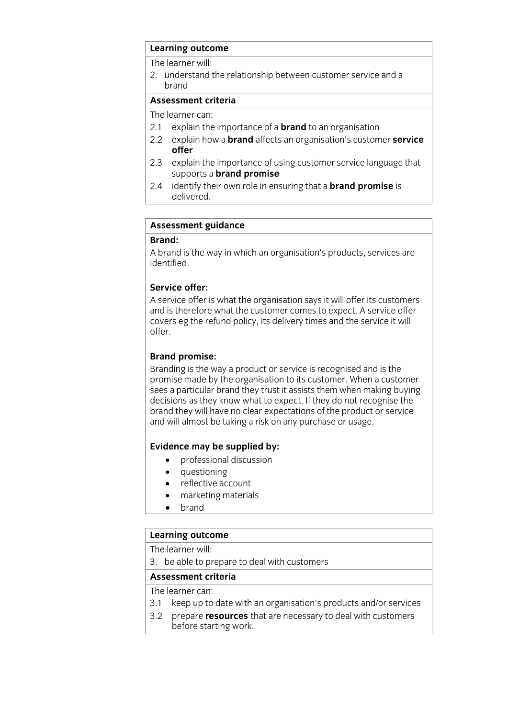# **Learning outcome**<br>The learner will:

The results: will 2. understand the relationship between customer service and a

## Assessment criteria

The learner can:

- 2.1 explain the importance of a **brand** to an organisation
- 2.2 explain how a **brand** affects an organisation's customer **service** 2.2 explain how a **brand** affects an organisation's customer **service**
- 2.3 explain the importance of using customer service language that supports a **brand promise**
- $2.4$ identify their own role in ensuring that a **brand promise** is delivered. delivered.<br>Delivered

# **Assessment guidance**

**Brand:**  $\mathcal{A}$  behavior is the way in which and  $\mathcal{A}$ identified.

## Service offer:

A service offer is what the organisation says it will offer its customers and is therefore what the customer comes to expect. A service offer covers eq the refund noticy its delivery times and the service it will covers even policy, it as a policy times and the service it will be service it will be service it will be service it will be service it will be service it will be service it will be service it will be service it will be se offer.

**Brand promise:**<br>Branding is the way a product or service is recognised and is the promise made by the organisation to its customer. When a customer sees a particular brand they trust it assists them when making buying. decisions as they know what to expect. If they do not recognise the brand they will have no clear expectations of the product or service and will almost he taking a risk on any nurchase or usage and will almost be taking a risk of  $\alpha$ 

- **Evidence** may be supplied by:
	- questioning
	- reflective account
	- marketing materials<br>• hrand
	- brand

# **Learning outcome**<br>The learner will:

3. be able to prepare to deal with customers

## Assessment criteria

The learner can:

- 3.1 keep up to date with an organisation's products and/or services
- 3.2 prepare **resources** that are necessary to deal with customers 3.2 prepare **resources** that are necessary to deal with customers before starting work.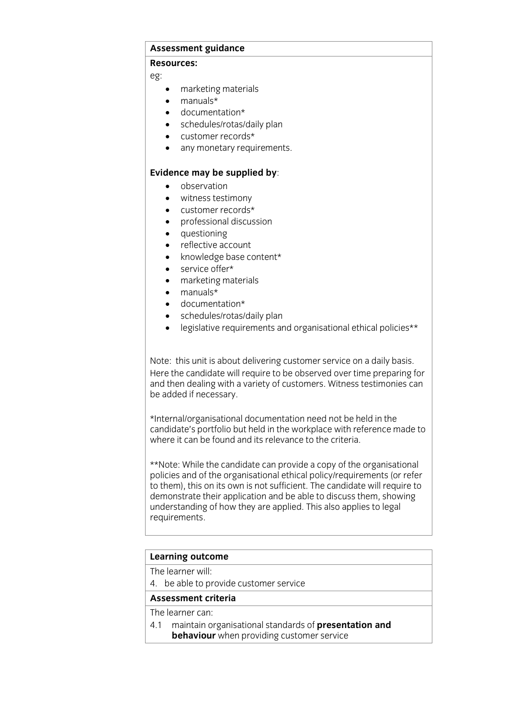# **Assessment guidance**

## **Resources:**

 $\overline{a}$ 

- $\bullet$  marketing materials<br> $\bullet$  manuals\*
- manuals\*
- documentation\*
- schedules/rotas/daily plan
- customer records\*
- any monetary requirements.

- **Evidence** may be supplied by:
	- witness testimony
	- customer records\*
	- professional discussion<br>• questioning
	- questioning<br>• reflective ac
	- reflective account
	- knowledge base content\*
	- service offer\*
	- marketing materials
	- manuals\*
	- documentation\*
	- schedules/rotas/daily plan<br>• legislative requirements are
	- legislative requirements and organisational ethical policies\*\*

Note: this unit is about delivering customer service on a daily basis.<br>Here the candidate will require to be observed over time preparing for and then dealing with a variety of customers. Witness testimonies can be added if necessary. be added if necessary.

\*Internal/organisational documentation need not be held in the where it can be found and its relevance to the criteria. where it can be found and its relevance to the criteria.

\*\*Note: While the candidate can provide a copy of the organisational policies and of the organisational ethical policy/requirements (or refer to them), this on its own is not sufficient. The candidate will require to demonstrate their application and be able to discuss them, showing understanding of how they are applied. This also applies to legal understanding of the standard product the product of the state  $\frac{1}{2}$ requirements.

# **Learning outcome**<br>The learner will:

4. be able to provide customer service

## Assessment criteria

## The learner can:

4.1 maintain organisational standards of presentation and **hehaviour** when providing customer service **behaviour** when providing customer service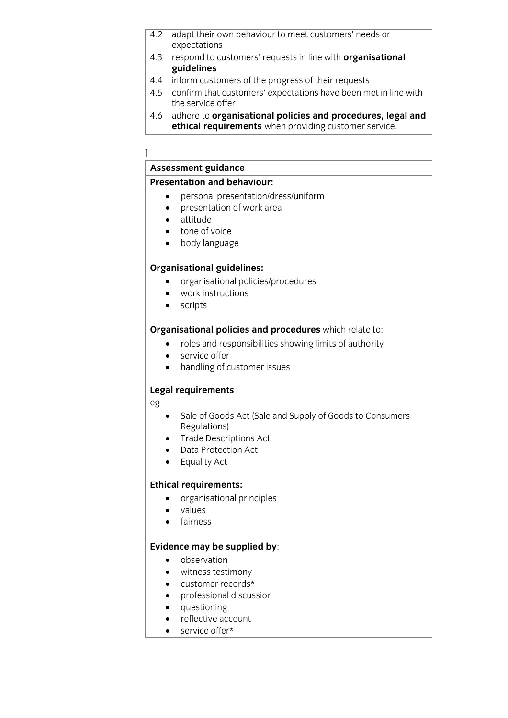- 4.2 adapt their own behaviour to meet customers' needs or expectations
- $r$ expectations 4.3 respond to customers' requests in line with **organisational guidelines**<br>4.4 inform customers of the progress of their requests
- 
- 4.5 confirm that customers' expectations have been met in line with the service offer
- 4.6 adhere to organisational policies and procedures, legal and **ethical requirements** when providing customer service. **ethical requirements** when providing customer service.

## .<br>I

# **Assessment guidance**

- **Presentation and and presentation of work area.** 
	- presentation of work area
	- attitude
	- tone of voice
	- body language

- **Critical guide**<br> **organisational policies/procedures**<br> **e** Work instructions
	- work instructions
	- scripts

- **Cross and responsibilities showing limits of authority**<br> **Cross and responsibilities showing limits of authority** 
	- service offer<br>• handling of c
	- handling of customer issues

## **Legal requirements**

eg

- Sale of Goods Act (Sale and Supply of Goods to Consumers<br>Regulations)
- Trade Descriptions Act
- Data Protection Act
- Equality Act

- **Example 1999**<br> **Examples**<br> **Contract Principles** 
	- values<br>• fairnes
	- fairness

- **Evidence** may be supplied by:
	- witness testimony
	- customer records\*
	- professional discussion
	- questioning
	- reflective account
	- service offer\*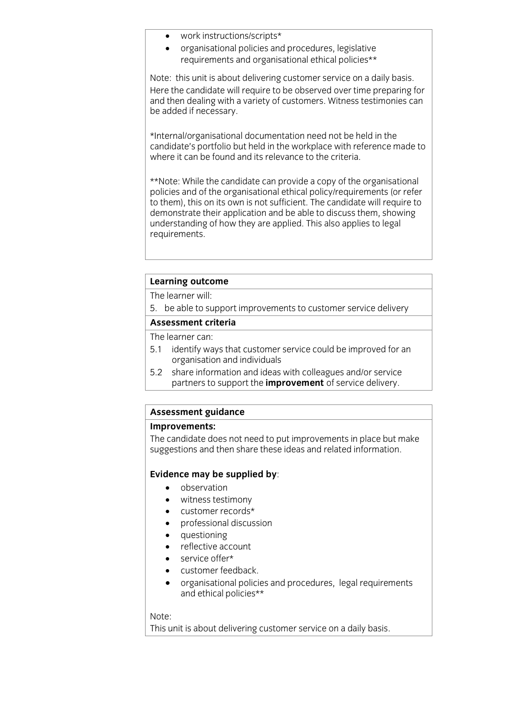- work instructions/scripts\*<br>• organisational policies and
- organisational policies and procedures, legislative requirements and organisational ethical policies\*\*

Note: this unit is about delivering customer service on a daily basis.<br>Here the candidate will require to be observed over time preparing for and then dealing with a variety of customers. Witness testimonies can be added if necessary. be added if necessary.

\*Internal/organisational documentation need not be held in the where it can be found and its relevance to the criteria. where it can be found and its relevance to the criteria.

\*\*Note: While the candidate can provide a copy of the organisational to them), this on its own is not sufficient. The candidate will require to demonstrate their application and be able to discuss them, showing understanding of how they are applied. This also applies to legal requirements. requirements.

# **Learning outcome**<br>The learner will:

5. be able to support improvements to customer service delivery

## Assessment criteria

The learner can:

- 5.1 identify ways that customer service could be improved for an organisation and individuals
- $5.2$ share information and ideas with colleagues and/or service partners to support the *improvement* of service delivery. partners to support the **improvement** of service delivery.

# **Assessment guidance**

The candidate does not need to put improvements in place but make suggestions and then share these ideas and related information. suggestions and then share these ideas and related information.

## **Evidence may be supplied by**:

- observation
- witness testimony
- customer records\*
- professional discussion
- questioning
- reflective account
- service offer\*
- customer feedback.<br>• organisational polici
- organisational policies and procedures, legal requirements and ethical policies\*\*

note:<br>Thic u This unit is about delivering customer service on a daily basis.